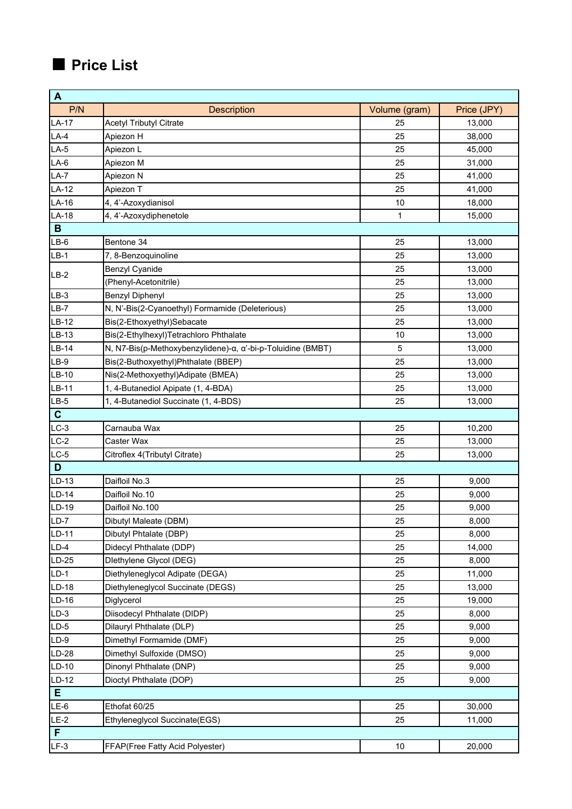| $\overline{A}$                                     |                                                             |               |             |  |  |
|----------------------------------------------------|-------------------------------------------------------------|---------------|-------------|--|--|
| P/N                                                | <b>Description</b>                                          | Volume (gram) | Price (JPY) |  |  |
| $LA-17$                                            | <b>Acetyl Tributyl Citrate</b>                              | 25            | 13,000      |  |  |
| $LA-4$                                             | Apiezon H                                                   | 25            | 38,000      |  |  |
| $LA-5$                                             | Apiezon L                                                   | 25            | 45,000      |  |  |
| $LA-6$                                             | Apiezon M                                                   | 25            | 31,000      |  |  |
| $LA-7$                                             | Apiezon N                                                   | 25            | 41,000      |  |  |
| $LA-12$                                            | Apiezon T                                                   | 25            | 41,000      |  |  |
| $LA-16$                                            | 4, 4'-Azoxydianisol                                         | 10            | 18,000      |  |  |
| $LA-18$                                            | 4, 4'-Azoxydiphenetole                                      | 1             | 15,000      |  |  |
| B                                                  |                                                             |               |             |  |  |
| $LB-6$                                             | Bentone 34                                                  | 25            | 13,000      |  |  |
| $LB-1$                                             | 7, 8-Benzoquinoline                                         | 25            | 13,000      |  |  |
| $LB-2$                                             | <b>Benzyl Cyanide</b>                                       | 25            | 13,000      |  |  |
|                                                    | (Phenyl-Acetonitrile)                                       | 25            | 13,000      |  |  |
| $LB-3$                                             | <b>Benzyl Diphenyl</b>                                      | 25            | 13,000      |  |  |
| $LB-7$                                             | N, N'-Bis(2-Cyanoethyl) Formamide (Deleterious)             | 25            | 13,000      |  |  |
| $LB-12$                                            | Bis(2-Ethoxyethyl)Sebacate                                  | 25            | 13,000      |  |  |
| LB-13                                              | Bis(2-Ethylhexyl)Tetrachloro Phthalate                      | 10            | 13,000      |  |  |
| $LB-14$                                            | N, N7-Bis(p-Methoxybenzylidene)-α, α'-bi-p-Toluidine (BMBT) | 5             | 13,000      |  |  |
| $LB-9$                                             | Bis(2-Buthoxyethyl)Phthalate (BBEP)                         | 25            | 13,000      |  |  |
| LB-10                                              | Nis(2-Methoxyethyl)Adipate (BMEA)                           | 25            | 13,000      |  |  |
| LB-11                                              | 1, 4-Butanediol Apipate (1, 4-BDA)                          | 25            | 13,000      |  |  |
| $LB-5$                                             | 1, 4-Butanediol Succinate (1, 4-BDS)                        | 25            | 13,000      |  |  |
| $\mathbf{C}$                                       |                                                             |               |             |  |  |
| $LC-3$                                             | Carnauba Wax                                                | 25            | 10,200      |  |  |
| $LC-2$                                             | Caster Wax                                                  | 25            | 13,000      |  |  |
| $LC-5$                                             | Citroflex 4(Tributyl Citrate)                               | 25            | 13,000      |  |  |
| D                                                  |                                                             |               |             |  |  |
| $LD-13$                                            | Daifloil No.3                                               | 25            | 9,000       |  |  |
| $LD-14$                                            | Daifloil No.10                                              | 25            | 9,000       |  |  |
| $LD-19$                                            | Daifloil No.100                                             | 25            | 9,000       |  |  |
| $LD-7$                                             | Dibutyl Maleate (DBM)                                       | 25            | 8,000       |  |  |
| $LD-11$                                            | Dibutyl Phtalate (DBP)                                      | 25            | 8,000       |  |  |
| $LD-4$                                             | Didecyl Phthalate (DDP)                                     | 25            | 14,000      |  |  |
| $LD-25$                                            | Dlethylene Glycol (DEG)                                     | 25            | 8,000       |  |  |
| $LD-1$                                             | Diethyleneglycol Adipate (DEGA)                             | 25            | 11,000      |  |  |
| LD-18                                              | Diethyleneglycol Succinate (DEGS)                           | 25            | 13,000      |  |  |
| $LD-16$                                            | Diglycerol                                                  | 25            | 19,000      |  |  |
| $LD-3$                                             | Diisodecyl Phthalate (DIDP)                                 | 25            | 8,000       |  |  |
| LD-5                                               | Dilauryl Phthalate (DLP)                                    | 25            | 9,000       |  |  |
| $LD-9$                                             | Dimethyl Formamide (DMF)                                    | 25            | 9,000       |  |  |
| $LD-28$                                            | Dimethyl Sulfoxide (DMSO)                                   | 25            | 9,000       |  |  |
| LD-10                                              | Dinonyl Phthalate (DNP)                                     | 25            | 9,000       |  |  |
| LD-12                                              | Dioctyl Phthalate (DOP)                                     | 25            | 9,000       |  |  |
| Е                                                  |                                                             |               |             |  |  |
| LE-6<br>$LE-2$                                     | Ethofat 60/25                                               | 25            | 30,000      |  |  |
| Ethyleneglycol Succinate(EGS)<br>25<br>11,000<br>F |                                                             |               |             |  |  |
|                                                    |                                                             |               |             |  |  |
| $LF-3$                                             | FFAP(Free Fatty Acid Polyester)                             | 10            | 20,000      |  |  |

## ■ **Price List**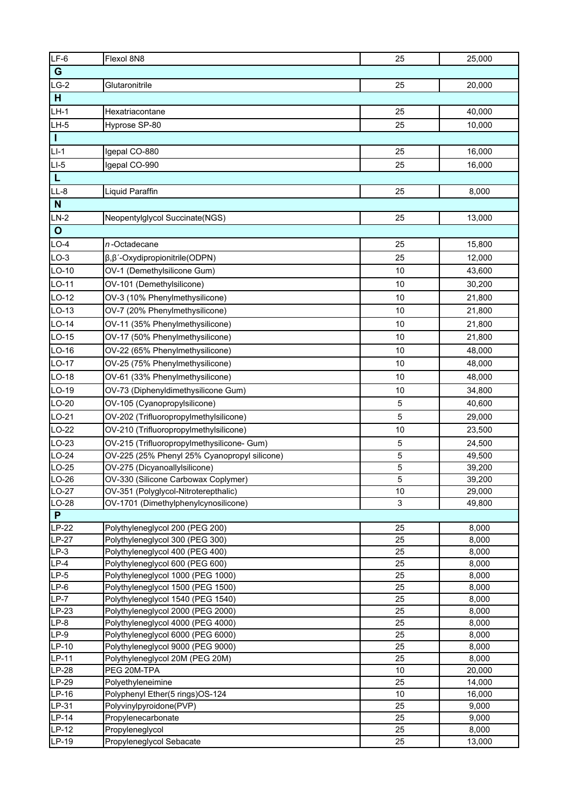| $LF-6$            | Flexol 8N8                                                         | 25       | 25,000           |  |  |
|-------------------|--------------------------------------------------------------------|----------|------------------|--|--|
| G                 |                                                                    |          |                  |  |  |
| $LG-2$            | Glutaronitrile                                                     | 25       | 20,000           |  |  |
| H                 |                                                                    |          |                  |  |  |
| $LH-1$            | Hexatriacontane                                                    | 25       | 40,000           |  |  |
| $LH-5$            | Hyprose SP-80                                                      | 25       | 10,000           |  |  |
| $\mathbf{I}$      |                                                                    |          |                  |  |  |
| $LI-1$            | Igepal CO-880                                                      | 25       | 16,000           |  |  |
| $LI-5$            | Igepal CO-990                                                      | 25       | 16,000           |  |  |
| L                 |                                                                    |          |                  |  |  |
| $LL-8$            | Liquid Paraffin                                                    | 25       | 8,000            |  |  |
| N                 |                                                                    |          |                  |  |  |
| $LN-2$            |                                                                    | 25       |                  |  |  |
|                   | Neopentylglycol Succinate(NGS)                                     |          | 13,000           |  |  |
| $\mathbf{o}$      |                                                                    |          |                  |  |  |
| $LO-4$            | n-Octadecane                                                       | 25       | 15,800           |  |  |
| $LO-3$            | β, β'-Oxydipropionitrile (ODPN)                                    | 25       | 12,000           |  |  |
| $LO-10$           | OV-1 (Demethylsilicone Gum)                                        | 10       | 43,600           |  |  |
| LO-11             | OV-101 (Demethylsilicone)                                          | 10       | 30,200           |  |  |
| $LO-12$           | OV-3 (10% Phenylmethysilicone)                                     | 10       | 21,800           |  |  |
| $LO-13$           | OV-7 (20% Phenylmethysilicone)                                     | 10       | 21,800           |  |  |
| $LO-14$           | OV-11 (35% Phenylmethysilicone)                                    | 10       | 21,800           |  |  |
| $LO-15$           | OV-17 (50% Phenylmethysilicone)                                    | 10       | 21,800           |  |  |
| $LO-16$           | OV-22 (65% Phenylmethysilicone)                                    | 10       | 48,000           |  |  |
| LO-17             | OV-25 (75% Phenylmethysilicone)                                    | 10       | 48,000           |  |  |
| LO-18             | OV-61 (33% Phenylmethysilicone)                                    | 10       | 48,000           |  |  |
| LO-19             | OV-73 (Diphenyldimethysilicone Gum)                                | 10       | 34,800           |  |  |
| $LO-20$           | OV-105 (Cyanopropylsilicone)                                       | 5        | 40,600           |  |  |
| $LO-21$           | OV-202 (Trifluoropropylmethylsilicone)                             | 5        | 29,000           |  |  |
| $LO-22$           | OV-210 (Trifluoropropylmethylsilicone)                             | 10       | 23,500           |  |  |
| $LO-23$           | OV-215 (Trifluoropropylmethysilicone- Gum)                         | 5        | 24,500           |  |  |
| $LO-24$           | OV-225 (25% Phenyl 25% Cyanopropyl silicone)                       | 5        | 49,500           |  |  |
| $LO-25$           | OV-275 (Dicyanoallylsilicone)                                      | 5        | 39,200           |  |  |
| LO-26             | OV-330 (Silicone Carbowax Coplymer)                                | 5        | 39,200           |  |  |
| LO-27             | OV-351 (Polyglycol-Nitroterepthalic)                               | 10       | 29,000           |  |  |
| LO-28             | OV-1701 (Dimethylphenylcynosilicone)                               | 3        | 49,800           |  |  |
| P<br><b>LP-22</b> |                                                                    |          |                  |  |  |
| <b>LP-27</b>      | Polythyleneglycol 200 (PEG 200)<br>Polythyleneglycol 300 (PEG 300) | 25<br>25 | 8,000<br>8,000   |  |  |
| $LP-3$            | Polythyleneglycol 400 (PEG 400)                                    | 25       | 8,000            |  |  |
| $LP-4$            | Polythyleneglycol 600 (PEG 600)                                    | 25       | 8,000            |  |  |
| $LP-5$            | Polythyleneglycol 1000 (PEG 1000)                                  | 25       | 8,000            |  |  |
| $LP-6$            | Polythyleneglycol 1500 (PEG 1500)                                  | 25       | 8,000            |  |  |
| $LP-7$            | Polythyleneglycol 1540 (PEG 1540)                                  | 25       | 8,000            |  |  |
| $LP-23$           | Polythyleneglycol 2000 (PEG 2000)                                  | 25       | 8,000            |  |  |
| $LP-8$            | Polythyleneglycol 4000 (PEG 4000)                                  | 25       | 8,000            |  |  |
| $LP-9$            | Polythyleneglycol 6000 (PEG 6000)                                  | 25       | 8,000            |  |  |
| $LP-10$           | Polythyleneglycol 9000 (PEG 9000)                                  | 25       | 8,000            |  |  |
| LP-11             | Polythyleneglycol 20M (PEG 20M)                                    | 25       | 8,000            |  |  |
| <b>LP-28</b>      | PEG 20M-TPA                                                        | 10       | 20,000           |  |  |
| LP-29<br>LP-16    | Polyethyleneimine<br>Polyphenyl Ether(5 rings)OS-124               | 25<br>10 | 14,000<br>16,000 |  |  |
| LP-31             | Polyvinylpyroidone(PVP)                                            | 25       | 9,000            |  |  |
| $LP-14$           | Propylenecarbonate                                                 | 25       | 9,000            |  |  |
| $LP-12$           | Propyleneglycol                                                    | 25       | 8,000            |  |  |
| LP-19             | Propyleneglycol Sebacate                                           | 25       | 13,000           |  |  |
|                   |                                                                    |          |                  |  |  |